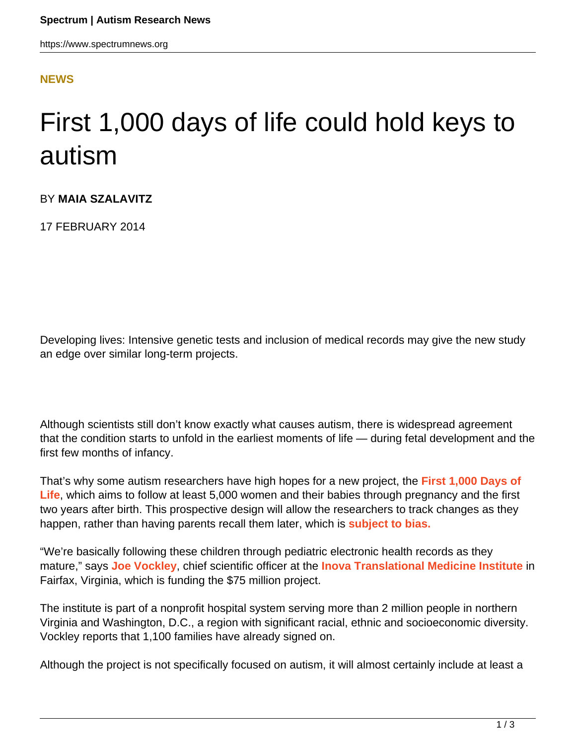## **[NEWS](HTTPS://WWW.SPECTRUMNEWS.ORG/NEWS/)**

## First 1,000 days of life could hold keys to autism

## BY **MAIA SZALAVITZ**

17 FEBRUARY 2014

Developing lives: Intensive genetic tests and inclusion of medical records may give the new study an edge over similar long-term projects.

Although scientists still don't know exactly what causes autism, there is widespread agreement that the condition starts to unfold in the earliest moments of life — during fetal development and the first few months of infancy.

That's why some autism researchers have high hopes for a new project, the **[First 1,000 Days of](http://www.inova.org/womens-health/childbirth/1000-days-study) [Life](http://www.inova.org/womens-health/childbirth/1000-days-study)**, which aims to follow at least 5,000 women and their babies through pregnancy and the first two years after birth. This prospective design will allow the researchers to track changes as they happen, rather than having parents recall them later, which is **[subject to bias.](https://www.spectrumnews.org/blog/2011/speak-memory)**

"We're basically following these children through pediatric electronic health records as they mature," says **[Joe Vockley](http://www.inova.org/clinical-education-and-research/research/inova-translational-medicine-institute/leadership)**, chief scientific officer at the **[Inova Translational Medicine Institute](http://www.inova.org/clinical-education-and-research/research/inova-translational-medicine-institute)** in Fairfax, Virginia, which is funding the \$75 million project.

The institute is part of a nonprofit hospital system serving more than 2 million people in northern Virginia and Washington, D.C., a region with significant racial, ethnic and socioeconomic diversity. Vockley reports that 1,100 families have already signed on.

Although the project is not specifically focused on autism, it will almost certainly include at least a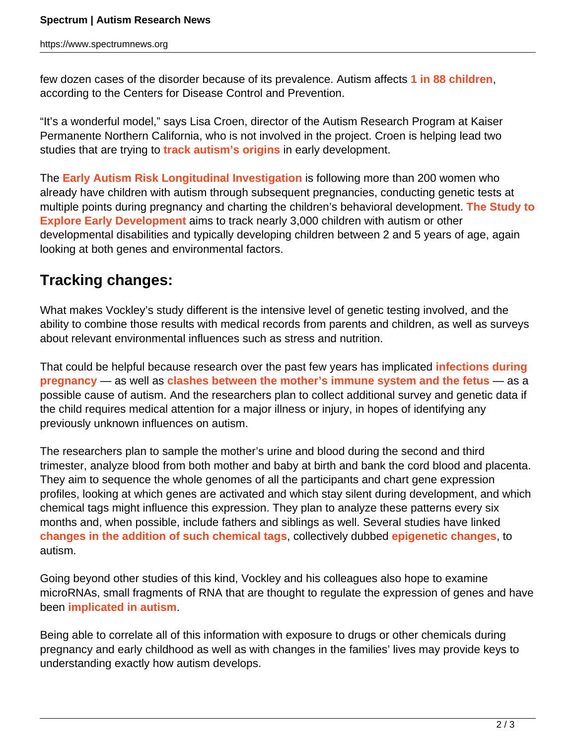few dozen cases of the disorder because of its prevalence. Autism affects **[1 in 88 children](https://www.spectrumnews.org/blog/2012/rate-debate)**, according to the Centers for Disease Control and Prevention.

"It's a wonderful model," says Lisa Croen, director of the Autism Research Program at Kaiser Permanente Northern California, who is not involved in the project. Croen is helping lead two studies that are trying to **[track autism's origins](https://www.spectrumnews.org/blog/2009/earli-signs)** in early development.

The **[Early Autism Risk Longitudinal Investigation](http://www.earlistudy.org/)** is following more than 200 women who already have children with autism through subsequent pregnancies, conducting genetic tests at multiple points during pregnancy and charting the children's behavioral development. **[The Study to](http://www.cdc.gov/ncbddd/autism/seed.html) [Explore Early Development](http://www.cdc.gov/ncbddd/autism/seed.html)** aims to track nearly 3,000 children with autism or other developmental disabilities and typically developing children between 2 and 5 years of age, again looking at both genes and environmental factors.

## **Tracking changes:**

What makes Vockley's study different is the intensive level of genetic testing involved, and the ability to combine those results with medical records from parents and children, as well as surveys about relevant environmental influences such as stress and nutrition.

That could be helpful because research over the past few years has implicated **[infections during](https://www.spectrumnews.org/news/2012/flu-during-pregnancy-raises-childs-risk-of-autism) [pregnancy](https://www.spectrumnews.org/news/2012/flu-during-pregnancy-raises-childs-risk-of-autism)** — as well as **[clashes between the mother's immune system and the fetus](https://www.spectrumnews.org/news/2011/studies-of-early-development-reveal-immune-link-to-autism)** — as a possible cause of autism. And the researchers plan to collect additional survey and genetic data if the child requires medical attention for a major illness or injury, in hopes of identifying any previously unknown influences on autism.

The researchers plan to sample the mother's urine and blood during the second and third trimester, analyze blood from both mother and baby at birth and bank the cord blood and placenta. They aim to sequence the whole genomes of all the participants and chart gene expression profiles, looking at which genes are activated and which stay silent during development, and which chemical tags might influence this expression. They plan to analyze these patterns every six months and, when possible, include fathers and siblings as well. Several studies have linked **[changes in the addition of such chemical tags](https://www.spectrumnews.org/news/2011/study-charts-epigenetic-landscape-of-autism-brains)**, collectively dubbed **[epigenetic changes](https://www.spectrumnews.org/news/2013/twin-study-finds-epigenetic-imprint-of-autism-traits)**, to autism.

Going beyond other studies of this kind, Vockley and his colleagues also hope to examine microRNAs, small fragments of RNA that are thought to regulate the expression of genes and have been **[implicated in autism](https://www.spectrumnews.org/news/2008/micrornas-may-play-a-role-in-autism-studies-find)**.

Being able to correlate all of this information with exposure to drugs or other chemicals during pregnancy and early childhood as well as with changes in the families' lives may provide keys to understanding exactly how autism develops.